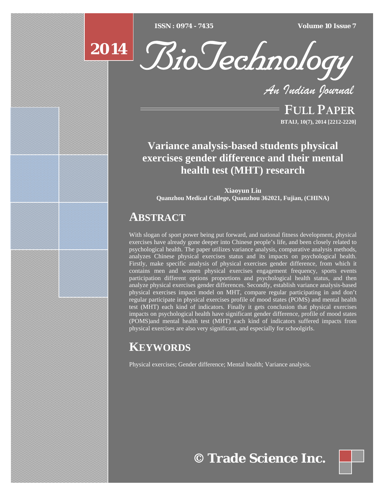[Type text] [Type text] [Type text] *ISSN : 0974 - 7435 Volume 10 Issue 7*

# **2014**



*An Indian Journal*

FULL PAPER **BTAIJ, 10(7), 2014 [2212-2220]**

# **Variance analysis-based students physical exercises gender difference and their mental health test (MHT) research**

**Xiaoyun Liu Quanzhou Medical College, Quanzhou 362021, Fujian, (CHINA)**

# **ABSTRACT**

With slogan of sport power being put forward, and national fitness development, physical exercises have already gone deeper into Chinese people's life, and been closely related to psychological health. The paper utilizes variance analysis, comparative analysis methods, analyzes Chinese physical exercises status and its impacts on psychological health. Firstly, make specific analysis of physical exercises gender difference, from which it contains men and women physical exercises engagement frequency, sports events participation different options proportions and psychological health status, and then analyze physical exercises gender differences. Secondly, establish variance analysis-based physical exercises impact model on MHT, compare regular participating in and don't regular participate in physical exercises profile of mood states (POMS) and mental health test (MHT) each kind of indicators. Finally it gets conclusion that physical exercises impacts on psychological health have significant gender difference, profile of mood states (POMS)and mental health test (MHT) each kind of indicators suffered impacts from physical exercises are also very significant, and especially for schoolgirls.

# **KEYWORDS**

Physical exercises; Gender difference; Mental health; Variance analysis.

**© Trade Science Inc.**

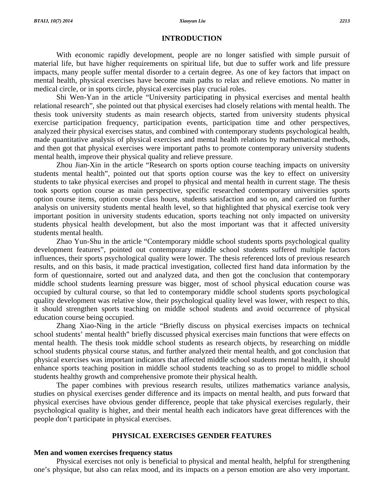# **INTRODUCTION**

With economic rapidly development, people are no longer satisfied with simple pursuit of material life, but have higher requirements on spiritual life, but due to suffer work and life pressure impacts, many people suffer mental disorder to a certain degree. As one of key factors that impact on mental health, physical exercises have become main paths to relax and relieve emotions. No matter in medical circle, or in sports circle, physical exercises play crucial roles.

Shi Wen-Yan in the article "University participating in physical exercises and mental health relational research", she pointed out that physical exercises had closely relations with mental health. The thesis took university students as main research objects, started from university students physical exercise participation frequency, participation events, participation time and other perspectives, analyzed their physical exercises status, and combined with contemporary students psychological health, made quantitative analysis of physical exercises and mental health relations by mathematical methods, and then got that physical exercises were important paths to promote contemporary university students mental health, improve their physical quality and relieve pressure.

Zhou Jian-Xin in the article "Research on sports option course teaching impacts on university students mental health", pointed out that sports option course was the key to effect on university students to take physical exercises and propel to physical and mental health in current stage. The thesis took sports option course as main perspective, specific researched contemporary universities sports option course items, option course class hours, students satisfaction and so on, and carried on further analysis on university students mental health level, so that highlighted that physical exercise took very important position in university students education, sports teaching not only impacted on university students physical health development, but also the most important was that it affected university students mental health.

Zhao Yun-Shu in the article "Contemporary middle school students sports psychological quality development features", pointed out contemporary middle school students suffered multiple factors influences, their sports psychological quality were lower. The thesis referenced lots of previous research results, and on this basis, it made practical investigation, collected first hand data information by the form of questionnaire, sorted out and analyzed data, and then got the conclusion that contemporary middle school students learning pressure was bigger, most of school physical education course was occupied by cultural course, so that led to contemporary middle school students sports psychological quality development was relative slow, their psychological quality level was lower, with respect to this, it should strengthen sports teaching on middle school students and avoid occurrence of physical education course being occupied.

Zhang Xiao-Ning in the article "Briefly discuss on physical exercises impacts on technical school students' mental health" briefly discussed physical exercises main functions that were effects on mental health. The thesis took middle school students as research objects, by researching on middle school students physical course status, and further analyzed their mental health, and got conclusion that physical exercises was important indicators that affected middle school students mental health, it should enhance sports teaching position in middle school students teaching so as to propel to middle school students healthy growth and comprehensive promote their physical health.

The paper combines with previous research results, utilizes mathematics variance analysis, studies on physical exercises gender difference and its impacts on mental health, and puts forward that physical exercises have obvious gender difference, people that take physical exercises regularly, their psychological quality is higher, and their mental health each indicators have great differences with the people don't participate in physical exercises.

# **PHYSICAL EXERCISES GENDER FEATURES**

# **Men and women exercises frequency status**

Physical exercises not only is beneficial to physical and mental health, helpful for strengthening one's physique, but also can relax mood, and its impacts on a person emotion are also very important.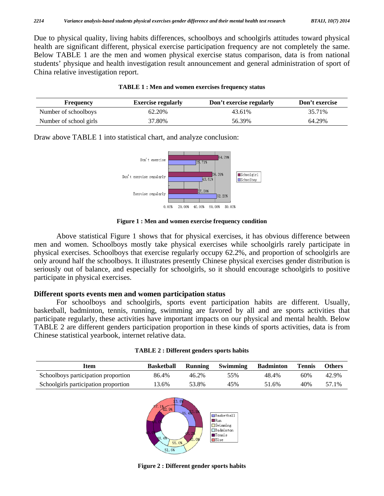Due to physical quality, living habits differences, schoolboys and schoolgirls attitudes toward physical health are significant different, physical exercise participation frequency are not completely the same. Below TABLE 1 are the men and women physical exercise status comparison, data is from national students' physique and health investigation result announcement and general administration of sport of China relative investigation report.

|  | TABLE 1 : Men and women exercises frequency status |
|--|----------------------------------------------------|
|--|----------------------------------------------------|

| <b>Frequency</b>       | <b>Exercise regularly</b> | Don't exercise regularly | Don't exercise |
|------------------------|---------------------------|--------------------------|----------------|
| Number of schoolboys   | 62.20%                    | 43.61%                   | 35.71%         |
| Number of school girls | 37.80%                    | 56.39%                   | 64.29%         |

Draw above TABLE 1 into statistical chart, and analyze conclusion:



**Figure 1 : Men and women exercise frequency condition** 

Above statistical Figure 1 shows that for physical exercises, it has obvious difference between men and women. Schoolboys mostly take physical exercises while schoolgirls rarely participate in physical exercises. Schoolboys that exercise regularly occupy 62.2%, and proportion of schoolgirls are only around half the schoolboys. It illustrates presently Chinese physical exercises gender distribution is seriously out of balance, and especially for schoolgirls, so it should encourage schoolgirls to positive participate in physical exercises.

# **Different sports events men and women participation status**

For schoolboys and schoolgirls, sports event participation habits are different. Usually, basketball, badminton, tennis, running, swimming are favored by all and are sports activities that participate regularly, these activities have important impacts on our physical and mental health. Below TABLE 2 are different genders participation proportion in these kinds of sports activities, data is from Chinese statistical yearbook, internet relative data.

| Item                                 | <b>Basketball</b> | <b>Running</b> | Swimming | <b>Badminton</b> | <b>Tennis</b> | <b>Others</b> |
|--------------------------------------|-------------------|----------------|----------|------------------|---------------|---------------|
| Schoolboys participation proportion  | 86.4%             | 46.2%          | 55%      | 48.4%            | 60%           | 42.9%         |
| Schoolgirls participation proportion | $3.6\%$           | 53.8%          | 45%      | 51.6%            | 40%           | 57.1%         |



**Figure 2 : Different gender sports habits**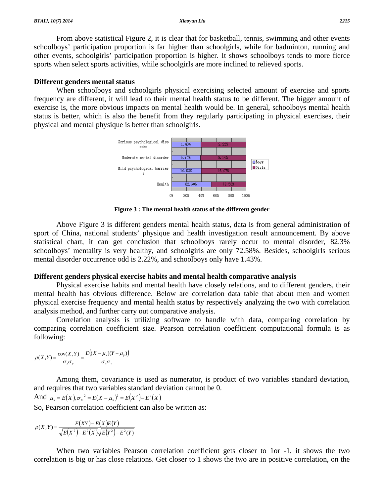From above statistical Figure 2, it is clear that for basketball, tennis, swimming and other events schoolboys' participation proportion is far higher than schoolgirls, while for badminton, running and other events, schoolgirls' participation proportion is higher. It shows schoolboys tends to more fierce sports when select sports activities, while schoolgirls are more inclined to relieved sports.

### **Different genders mental status**

When schoolboys and schoolgirls physical exercising selected amount of exercise and sports frequency are different, it will lead to their mental health status to be different. The bigger amount of exercise is, the more obvious impacts on mental health would be. In general, schoolboys mental health status is better, which is also the benefit from they regularly participating in physical exercises, their physical and mental physique is better than schoolgirls.



**Figure 3 : The mental health status of the different gender** 

Above Figure 3 is different genders mental health status, data is from general administration of sport of China, national students' physique and health investigation result announcement. By above statistical chart, it can get conclusion that schoolboys rarely occur to mental disorder, 82.3% schoolboys' mentality is very healthy, and schoolgirls are only 72.58%. Besides, schoolgirls serious mental disorder occurrence odd is 2.22%, and schoolboys only have 1.43%.

# **Different genders physical exercise habits and mental health comparative analysis**

Physical exercise habits and mental health have closely relations, and to different genders, their mental health has obvious difference. Below are correlation data table that about men and women physical exercise frequency and mental health status by respectively analyzing the two with correlation analysis method, and further carry out comparative analysis.

Correlation analysis is utilizing software to handle with data, comparing correlation by comparing correlation coefficient size. Pearson correlation coefficient computational formula is as following:

$$
\rho(X,Y) = \frac{\text{cov}(X,Y)}{\sigma_x \sigma_y} = \frac{E\big((X - \mu_x)(Y - \mu_y)\big)}{\sigma_x \sigma_y}
$$

Among them, covariance is used as numerator, is product of two variables standard deviation, and requires that two variables standard deviation cannot be 0.

And  $\mu_x = E(X), \sigma_x^2 = E(X - \mu_x)^2 = E(X^2) - E^2(X)$ 

So, Pearson correlation coefficient can also be written as:

$$
\rho(X,Y) = \frac{E(XY) - E(X)E(Y)}{\sqrt{E(X^2) - E^2(X)}\sqrt{E(Y^2) - E^2(Y)}}
$$

When two variables Pearson correlation coefficient gets closer to 1or -1, it shows the two correlation is big or has close relations. Get closer to 1 shows the two are in positive correlation, on the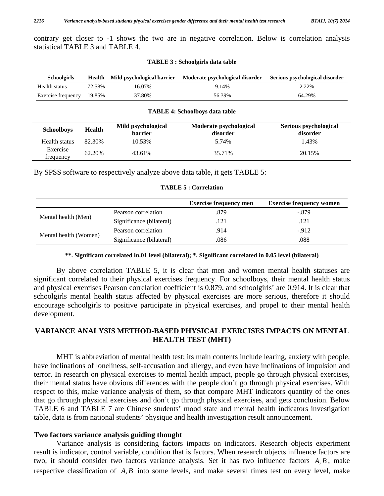contrary get closer to -1 shows the two are in negative correlation. Below is correlation analysis statistical TABLE 3 and TABLE 4.

| <b>Schoolgirls</b> |        | Health Mild psychological barrier | Moderate psychological disorder | Serious psychological disorder |
|--------------------|--------|-----------------------------------|---------------------------------|--------------------------------|
| Health status      | 72.58% | 16.07%                            | 9.14%                           | 2.22%                          |
| Exercise frequency | 19.85% | 37.80%                            | 56.39%                          | 64.29%                         |

#### **TABLE 3 : Schoolgirls data table**

#### **TABLE 4: Schoolboys data table**

| <b>Schoolboys</b>     | <b>Health</b> | Mild psychological<br><b>barrier</b> | Moderate psychological<br>disorder | Serious psychological<br>disorder |
|-----------------------|---------------|--------------------------------------|------------------------------------|-----------------------------------|
| Health status         | 82.30%        | 10.53%                               | 5.74%                              | 1.43%                             |
| Exercise<br>trequency | 62.20%        | 43.61%                               | 35.71%                             | 20.15%                            |

By SPSS software to respectively analyze above data table, it gets TABLE 5:

|                       |                          | <b>Exercise frequency men</b> | <b>Exercise frequency women</b> |
|-----------------------|--------------------------|-------------------------------|---------------------------------|
| Mental health (Men)   | Pearson correlation      | .879                          | -.879                           |
|                       | Significance (bilateral) | .121                          | .121                            |
| Mental health (Women) | Pearson correlation      | .914                          | $-912$                          |
|                       | Significance (bilateral) | .086                          | .088                            |

### **TABLE 5 : Correlation**

# **\*\*. Significant correlated in.01 level (bilateral); \*. Significant correlated in 0.05 level (bilateral)**

By above correlation TABLE 5, it is clear that men and women mental health statuses are significant correlated to their physical exercises frequency. For schoolboys, their mental health status and physical exercises Pearson correlation coefficient is 0.879, and schoolgirls' are 0.914. It is clear that schoolgirls mental health status affected by physical exercises are more serious, therefore it should encourage schoolgirls to positive participate in physical exercises, and propel to their mental health development.

# **VARIANCE ANALYSIS METHOD-BASED PHYSICAL EXERCISES IMPACTS ON MENTAL HEALTH TEST (MHT)**

MHT is abbreviation of mental health test; its main contents include learing, anxiety with people, have inclinations of loneliness, self-accusation and allergy, and even have inclinations of impulsion and terror. In research on physical exercises to mental health impact, people go through physical exercises, their mental status have obvious differences with the people don't go through physical exercises. With respect to this, make variance analysis of them, so that compare MHT indicators quantity of the ones that go through physical exercises and don't go through physical exercises, and gets conclusion. Below TABLE 6 and TABLE 7 are Chinese students' mood state and mental health indicators investigation table, data is from national students' physique and health investigation result announcement.

# **Two factors variance analysis guiding thought**

Variance analysis is considering factors impacts on indicators. Research objects experiment result is indicator, control variable, condition that is factors. When research objects influence factors are two, it should consider two factors variance analysis. Set it has two influence factors *A*, *B* , make respective classification of A, *B* into some levels, and make several times test on every level, make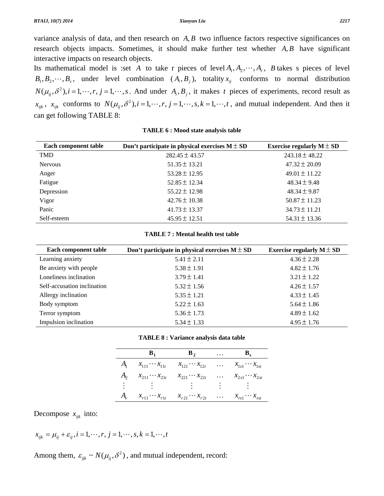variance analysis of data, and then research on *A*, *B* two influence factors respective significances on research objects impacts. Sometimes, it should make further test whether *A*, *B* have significant interactive impacts on research objects.

Its mathematical model is :set *A* to take r pieces of level  $A_1, A_2, \dots, A_r$ , *B* takes s pieces of level  $B_1, B_2, \dots, B_s$ , under level combination  $(A_i, B_j)$ , totality  $x_{ij}$  conforms to normal distribution  $N(\mu_{ij}, \delta^2)$ ,  $i = 1, \dots, r$ ,  $j = 1, \dots, s$ . And under  $A_i, B_j$ , it makes *t* pieces of experiments, record result as  $x_{ijk}$ ,  $x_{ijk}$  conforms to  $N(\mu_{ij}, \delta^2)$ ,  $i = 1, \dots, r$ ,  $j = 1, \dots, s$ ,  $k = 1, \dots, t$ , and mutual independent. And then it can get following TABLE 8:

| Each component table | Don't participate in physical exercises $M \pm SD$ | Exercise regularly $M \pm SD$ |
|----------------------|----------------------------------------------------|-------------------------------|
| <b>TMD</b>           | $282.45 \pm 43.57$                                 | $243.18 \pm 48.22$            |
| <b>Nervous</b>       | $51.35 \pm 13.21$                                  | $47.32 \pm 20.09$             |
| Anger                | $53.28 \pm 12.95$                                  | $49.01 \pm 11.22$             |
| Fatigue              | $52.85 \pm 12.34$                                  | $48.34 \pm 9.48$              |
| Depression           | $55.22 \pm 12.98$                                  | $48.34 \pm 9.87$              |
| Vigor                | $42.76 \pm 10.38$                                  | $50.87 \pm 11.23$             |
| Panic                | $41.73 \pm 13.37$                                  | $34.73 \pm 11.21$             |
| Self-esteem          | $45.95 \pm 12.51$                                  | $54.31 \pm 13.36$             |

**TABLE 6 : Mood state analysis table** 

### **TABLE 7 : Mental health test table**

| Each component table        | Don't participate in physical exercises $M \pm SD$ | Exercise regularly $M \pm SD$ |
|-----------------------------|----------------------------------------------------|-------------------------------|
| Learning anxiety            | $5.41 \pm 2.11$                                    | $4.36 \pm 2.28$               |
| Be anxiety with people      | $5.38 \pm 1.91$                                    | $4.82 \pm 1.76$               |
| Loneliness inclination      | $3.79 \pm 1.41$                                    | $3.21 \pm 1.22$               |
| Self-accusation inclination | $5.32 \pm 1.56$                                    | $4.26 \pm 1.57$               |
| Allergy inclination         | $5.35 \pm 1.21$                                    | $4.33 \pm 1.45$               |
| Body symptom                | $5.22 \pm 1.63$                                    | $5.64 \pm 1.86$               |
| Terror symptom              | $5.36 \pm 1.73$                                    | $4.89 \pm 1.62$               |
| Impulsion inclination       | $5.34 \pm 1.33$                                    | $4.95 \pm 1.76$               |

|  | <b>TABLE 8 : Variance analysis data table</b> |  |
|--|-----------------------------------------------|--|
|--|-----------------------------------------------|--|

| $B_1$ | $\mathbf{B}_2$                                                                                            | $\cdots$ | $B_{s}$ |
|-------|-----------------------------------------------------------------------------------------------------------|----------|---------|
|       | $A_1 \quad x_{111} \cdots x_{11t} \quad x_{121} \cdots x_{12t} \quad \ldots \quad x_{1s1} \cdots x_{1st}$ |          |         |
|       | $A_2$ $x_{211} \cdots x_{21t}$ $x_{221} \cdots x_{22t}$ $x_{2s1} \cdots x_{2st}$                          |          |         |
|       | E South E South E South Form E South                                                                      |          |         |
|       | $A_r \quad x_{r11} \cdots x_{r1t} \quad x_{r21} \cdots x_{r2t} \quad \dots \quad x_{rs1} \cdots x_{rst}$  |          |         |

Decompose  $x_{ijk}$  into:

$$
x_{ijk} = \mu_{ij} + \varepsilon_{ij}, i = 1, \cdots, r, j = 1, \cdots, s, k = 1, \cdots, t
$$

Among them,  $\varepsilon_{ijk} \sim N(\mu_{ij}, \delta^2)$ , and mutual independent, record: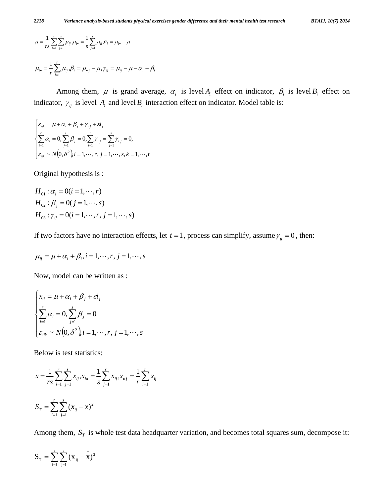$$
\mu = \frac{1}{rs} \sum_{i=1}^{r} \sum_{j=1}^{s} \mu_{ij} \mu_{i\bullet} = \frac{1}{s} \sum_{j=1}^{s} \mu_{ij} \mu_{i\bullet} = \mu_{i\bullet} - \mu
$$
  

$$
\mu_{i\bullet} = \frac{1}{r} \sum_{i=1}^{r} \mu_{ij} \mu_{i\bullet} = \mu_{\bullet j} - \mu_{\bullet} \gamma_{ij} = \mu_{ij} - \mu - \alpha_i - \beta_i
$$

 $\mu_i - \mu_{\bullet j} - \mu,$   $\gamma_{ij} - \mu_{ij} - \mu - \mu_i - \mu_{ij}$ 

Among them,  $\mu$  is grand average,  $\alpha_i$  is level  $A_i$  effect on indicator,  $\beta_i$  is level  $B_i$  effect on indicator,  $\gamma_{ij}$  is level  $A_i$  and level  $B_i$  interaction effect on indicator. Model table is:

$$
\begin{cases}\n x_{ijk} = \mu + \alpha_i + \beta_j + \gamma_{ij} + \varepsilon i_j \\
\sum_{i=1}^r \alpha_i = 0, \sum_{j=1}^s \beta_j = 0, \sum_{i=1}^r \gamma_{ij} = \sum_{j=1}^s \gamma_{ij} = 0, \\
\varepsilon_{ijk} \sim N(0, \delta^2), i = 1, \dots, r, j = 1, \dots, s, k = 1, \dots, t\n\end{cases}
$$

Original hypothesis is :

$$
H_{01} : \alpha_i = 0 (i = 1, \dots, r)
$$
  
\n
$$
H_{02} : \beta_j = 0 (j = 1, \dots, s)
$$
  
\n
$$
H_{03} : \gamma_{ij} = 0 (i = 1, \dots, r, j = 1, \dots, s)
$$

If two factors have no interaction effects, let  $t = 1$ , process can simplify, assume  $\gamma_{ij} = 0$ , then:

$$
\mu_{ij} = \mu + \alpha_i + \beta_i, i = 1, \cdots, r, j = 1, \cdots, s
$$

Now, model can be written as :

$$
\begin{cases}\n x_{ij} = \mu + \alpha_i + \beta_j + \varepsilon i_j \\
\sum_{i=1}^r \alpha_i = 0, \sum_{j=1}^s \beta_j = 0 \\
\varepsilon_{ijk} \sim N(0, \delta^2), i = 1, \cdots, r, j = 1, \cdots, s\n\end{cases}
$$

Below is test statistics:

$$
\bar{x} = \frac{1}{rs} \sum_{i=1}^{r} \sum_{j=1}^{s} x_{ij} x_{i\bullet} = \frac{1}{s} \sum_{j=1}^{s} x_{ij} x_{\bullet j} = \frac{1}{r} \sum_{i=1}^{r} x_{ij}
$$

$$
S_{T} = \sum_{i=1}^{r} \sum_{j=1}^{s} (x_{ij} - \bar{x})^{2}
$$

Among them,  $S_T$  is whole test data headquarter variation, and becomes total squares sum, decompose it:

$$
S_{_T}=\sum_{_{i=1}}^{_{r}}\sum_{_{j=1}}^{_{s}}(x_{_{ij}}-\overset{\_}{x})^{^{2}}
$$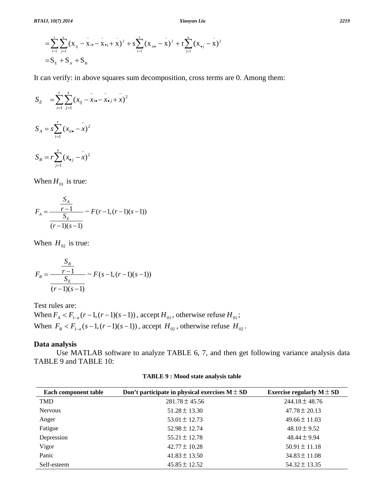$$
= \sum_{i=1}^{r} \sum_{j=1}^{s} (x_{ij} - x_{i\bullet} - x_{\bullet j} + x)^{2} + s \sum_{i=1}^{r} (x_{ii\bullet} - x)^{2} + r \sum_{j=1}^{s} (x_{\bullet j} - x)^{2}
$$
  
=  $S_{E} + S_{A} + S_{B}$ 

It can verify: in above squares sum decomposition, cross terms are 0. Among them:

$$
S_E = \sum_{i=1}^{r} \sum_{j=1}^{s} (x_{ij} - \bar{x}_{i\bullet} - \bar{x}_{\bullet j} + \bar{x})^2
$$
  

$$
S_A = s \sum_{i=1}^{r} (x_{ii\bullet} - \bar{x})^2
$$
  

$$
S_B = r \sum_{j=1}^{s} (x_{\bullet j} - \bar{x})^2
$$

When  $H_{01}$  is true:

$$
F_A = \frac{\frac{S_A}{r-1}}{\frac{S_E}{(r-1)(s-1)}} \sim F(r-1, (r-1)(s-1))
$$

When  $H_{02}$  is true:

$$
F_B = \frac{\frac{S_B}{r-1}}{\frac{S_E}{(r-1)(s-1)}} \sim F(s-1, (r-1)(s-1))
$$

Test rules are:

When  $F_A < F_{1-a}(r-1, (r-1)(s-1))$ , accept  $H_{01}$ , otherwise refuse  $H_{01}$ ; When  $F_B < F_{1-a}(s-1, (r-1)(s-1))$ , accept  $H_{02}$ , otherwise refuse  $H_{02}$ .

# **Data analysis**

Use MATLAB software to analyze TABLE 6, 7, and then get following variance analysis data TABLE 9 and TABLE 10:

| Each component table | Don't participate in physical exercises $M \pm SD$ | Exercise regularly $M \pm SD$ |
|----------------------|----------------------------------------------------|-------------------------------|
| <b>TMD</b>           | $281.78 \pm 45.56$                                 | $244.18 \pm 48.76$            |
| <b>Nervous</b>       | $51.28 \pm 13.30$                                  | $47.78 \pm 20.13$             |
| Anger                | $53.01 \pm 12.73$                                  | $49.66 \pm 11.03$             |
| Fatigue              | $52.98 \pm 12.74$                                  | $48.10 \pm 9.52$              |
| Depression           | $55.21 \pm 12.78$                                  | $48.44 \pm 9.94$              |
| Vigor                | $42.77 \pm 10.28$                                  | $50.91 \pm 11.18$             |
| Panic                | $41.83 \pm 13.50$                                  | $34.83 \pm 11.08$             |
| Self-esteem          | $45.85 \pm 12.52$                                  | $54.32 \pm 13.35$             |

**TABLE 9 : Mood state analysis table**